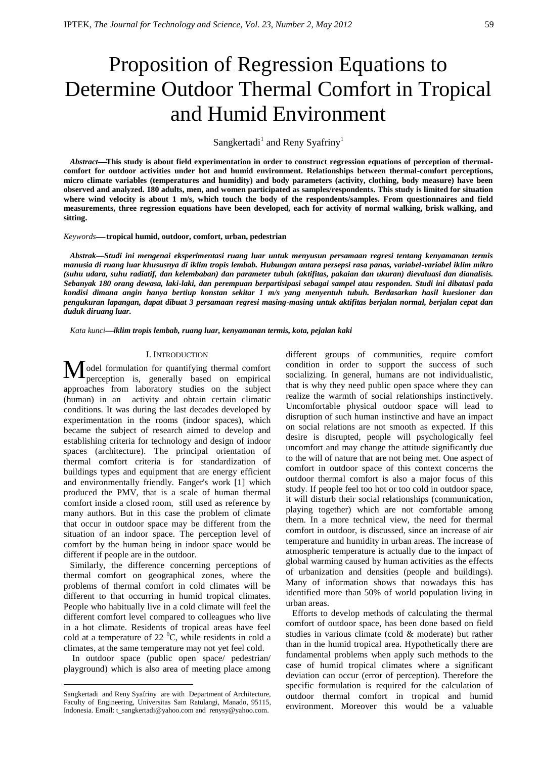# Proposition of Regression Equations to Determine Outdoor Thermal Comfort in Tropical and Humid Environment

# Sangkertadi<sup>1</sup> and Reny Syafriny<sup>1</sup>

Abstract—This study is about field experimentation in order to construct regression equations of perception of thermal**comfort for outdoor activities under hot and humid environment. Relationships between thermal-comfort perceptions, micro climate variables (temperatures and humidity) and body parameters (activity, clothing, body measure) have been observed and analyzed. 180 adults, men, and women participated as samples/respondents. This study is limited for situation where wind velocity is about 1 m/s, which touch the body of the respondents/samples. From questionnaires and field measurements, three regression equations have been developed, each for activity of normal walking, brisk walking, and sitting.**

#### *Keywords* **tropical humid, outdoor, comfort, urban, pedestrian**

*Abstrak—Studi ini mengenai eksperimentasi ruang luar untuk menyusun persamaan regresi tentang kenyamanan termis manusia di ruang luar khususnya di iklim tropis lembab. Hubungan antara persepsi rasa panas, variabel-variabel iklim mikro (suhu udara, suhu radiatif, dan kelembaban) dan parameter tubuh (aktifitas, pakaian dan ukuran) dievaluasi dan dianalisis. Sebanyak 180 orang dewasa, laki-laki, dan perempuan berpartisipasi sebagai sampel atau responden. Studi ini dibatasi pada kondisi dimana angin hanya bertiup konstan sekitar 1 m/s yang menyentuh tubuh. Berdasarkan hasil kuesioner dan pengukuran lapangan, dapat dibuat 3 persamaan regresi masing-masing untuk aktifitas berjalan normal, berjalan cepat dan duduk diruang luar.* 

*Kata kunciiklim tropis lembab, ruang luar, kenyamanan termis, kota, pejalan kaki*

# I. INTRODUCTION**<sup>3</sup>**

odel formulation for quantifying thermal comfort Model formulation for quantifying thermal comfort<br>perception is, generally based on empirical approaches from laboratory studies on the subject (human) in an activity and obtain certain climatic conditions. It was during the last decades developed by experimentation in the rooms (indoor spaces), which became the subject of research aimed to develop and establishing criteria for technology and design of indoor spaces (architecture). The principal orientation of thermal comfort criteria is for standardization of buildings types and equipment that are energy efficient and environmentally friendly. Fanger's work [1] which produced the PMV, that is a scale of human thermal comfort inside a closed room, still used as reference by many authors. But in this case the problem of climate that occur in outdoor space may be different from the situation of an indoor space. The perception level of comfort by the human being in indoor space would be different if people are in the outdoor.

Similarly, the difference concerning perceptions of thermal comfort on geographical zones, where the problems of thermal comfort in cold climates will be different to that occurring in humid tropical climates. People who habitually live in a cold climate will feel the different comfort level compared to colleagues who live in a hot climate. Residents of tropical areas have feel cold at a temperature of 22 $\mathrm{^0C}$ , while residents in cold a climates, at the same temperature may not yet feel cold.

In outdoor space (public open space/ pedestrian/ playground) which is also area of meeting place among

 $\overline{a}$ 

different groups of communities, require comfort condition in order to support the success of such socializing. In general, humans are not individualistic, that is why they need public open space where they can realize the warmth of social relationships instinctively. Uncomfortable physical outdoor space will lead to disruption of such human instinctive and have an impact on social relations are not smooth as expected. If this desire is disrupted, people will psychologically feel uncomfort and may change the attitude significantly due to the will of nature that are not being met. One aspect of comfort in outdoor space of this context concerns the outdoor thermal comfort is also a major focus of this study. If people feel too hot or too cold in outdoor space, it will disturb their social relationships (communication, playing together) which are not comfortable among them. In a more technical view, the need for thermal comfort in outdoor, is discussed, since an increase of air temperature and humidity in urban areas. The increase of atmospheric temperature is actually due to the impact of global warming caused by human activities as the effects of urbanization and densities (people and buildings). Many of information shows that nowadays this has identified more than 50% of world population living in urban areas.

Efforts to develop methods of calculating the thermal comfort of outdoor space, has been done based on field studies in various climate (cold & moderate) but rather than in the humid tropical area. Hypothetically there are fundamental problems when apply such methods to the case of humid tropical climates where a significant deviation can occur (error of perception). Therefore the specific formulation is required for the calculation of outdoor thermal comfort in tropical and humid environment. Moreover this would be a valuable

Sangkertadi and Reny Syafriny are with Department of Architecture, Faculty of Engineering, Universitas Sam Ratulangi, Manado, 95115, Indonesia. Email[: t\\_sangkertadi@yahoo.com](mailto:t_sangkertadi@yahoo.com) and renysy@yahoo.com.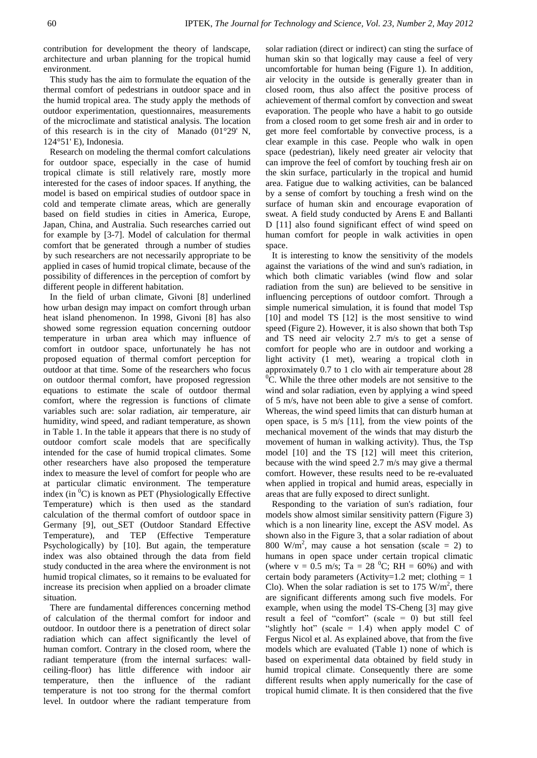contribution for development the theory of landscape, architecture and urban planning for the tropical humid environment.

This study has the aim to formulate the equation of the thermal comfort of pedestrians in outdoor space and in the humid tropical area. The study apply the methods of outdoor experimentation, questionnaires, measurements of the microclimate and statistical analysis. The location of this research is in the city of Manado (01°29' N, 124°51' E), Indonesia.

Research on modeling the thermal comfort calculations for outdoor space, especially in the case of humid tropical climate is still relatively rare, mostly more interested for the cases of indoor spaces. If anything, the model is based on empirical studies of outdoor space in cold and temperate climate areas, which are generally based on field studies in cities in America, Europe, Japan, China, and Australia. Such researches carried out for example by [3-7]. Model of calculation for thermal comfort that be generated through a number of studies by such researchers are not necessarily appropriate to be applied in cases of humid tropical climate, because of the possibility of differences in the perception of comfort by different people in different habitation.

In the field of urban climate, Givoni [8] underlined how urban design may impact on comfort through urban heat island phenomenon. In 1998, Givoni [8] has also showed some regression equation concerning outdoor temperature in urban area which may influence of comfort in outdoor space, unfortunately he has not proposed equation of thermal comfort perception for outdoor at that time. Some of the researchers who focus on outdoor thermal comfort, have proposed regression equations to estimate the scale of outdoor thermal comfort, where the regression is functions of climate variables such are: solar radiation, air temperature, air humidity, wind speed, and radiant temperature, as shown in Table 1. In the table it appears that there is no study of outdoor comfort scale models that are specifically intended for the case of humid tropical climates. Some other researchers have also proposed the temperature index to measure the level of comfort for people who are at particular climatic environment. The temperature index (in  $\mathrm{C}$ ) is known as PET (Physiologically Effective Temperature) which is then used as the standard calculation of the thermal comfort of outdoor space in Germany [9], out\_SET (Outdoor Standard Effective Temperature), and TEP (Effective Temperature Psychologically) by [10]. But again, the temperature index was also obtained through the data from field study conducted in the area where the environment is not humid tropical climates, so it remains to be evaluated for increase its precision when applied on a broader climate situation.

There are fundamental differences concerning method of calculation of the thermal comfort for indoor and outdoor. In outdoor there is a penetration of direct solar radiation which can affect significantly the level of human comfort. Contrary in the closed room, where the radiant temperature (from the internal surfaces: wallceiling-floor) has little difference with indoor air temperature, then the influence of the radiant temperature is not too strong for the thermal comfort level. In outdoor where the radiant temperature from solar radiation (direct or indirect) can sting the surface of human skin so that logically may cause a feel of very uncomfortable for human being (Figure 1). In addition, air velocity in the outside is generally greater than in closed room, thus also affect the positive process of achievement of thermal comfort by convection and sweat evaporation. The people who have a habit to go outside from a closed room to get some fresh air and in order to get more feel comfortable by convective process, is a clear example in this case. People who walk in open space (pedestrian), likely need greater air velocity that can improve the feel of comfort by touching fresh air on the skin surface, particularly in the tropical and humid area. Fatigue due to walking activities, can be balanced by a sense of comfort by touching a fresh wind on the surface of human skin and encourage evaporation of sweat. A field study conducted by Arens E and Ballanti D [11] also found significant effect of wind speed on human comfort for people in walk activities in open space.

It is interesting to know the sensitivity of the models against the variations of the wind and sun's radiation, in which both climatic variables (wind flow and solar radiation from the sun) are believed to be sensitive in influencing perceptions of outdoor comfort. Through a simple numerical simulation, it is found that model Tsp [10] and model TS [12] is the most sensitive to wind speed (Figure 2). However, it is also shown that both Tsp and TS need air velocity 2.7 m/s to get a sense of comfort for people who are in outdoor and working a light activity (1 met), wearing a tropical cloth in approximately 0.7 to 1 clo with air temperature about 28  ${}^{0}C$ . While the three other models are not sensitive to the wind and solar radiation, even by applying a wind speed of 5 m/s, have not been able to give a sense of comfort. Whereas, the wind speed limits that can disturb human at open space, is 5 m/s [11], from the view points of the mechanical movement of the winds that may disturb the movement of human in walking activity). Thus, the Tsp model [10] and the TS [12] will meet this criterion, because with the wind speed 2.7 m/s may give a thermal comfort. However, these results need to be re-evaluated when applied in tropical and humid areas, especially in areas that are fully exposed to direct sunlight.

Responding to the variation of sun's radiation, four models show almost similar sensitivity pattern (Figure 3) which is a non linearity line, except the ASV model. As shown also in the Figure 3, that a solar radiation of about 800 W/m<sup>2</sup>, may cause a hot sensation (scale = 2) to humans in open space under certain tropical climatic (where  $v = 0.5$  m/s; Ta = 28 <sup>0</sup>C; RH = 60%) and with certain body parameters (Activity=1.2 met; clothing  $= 1$ ) Clo). When the solar radiation is set to 175  $W/m^2$ , there are significant differents among such five models. For example, when using the model TS-Cheng [3] may give result a feel of "comfort" (scale = 0) but still feel "slightly hot" (scale  $= 1.4$ ) when apply model C of Fergus Nicol et al. As explained above, that from the five models which are evaluated (Table 1) none of which is based on experimental data obtained by field study in humid tropical climate. Consequently there are some different results when apply numerically for the case of tropical humid climate. It is then considered that the five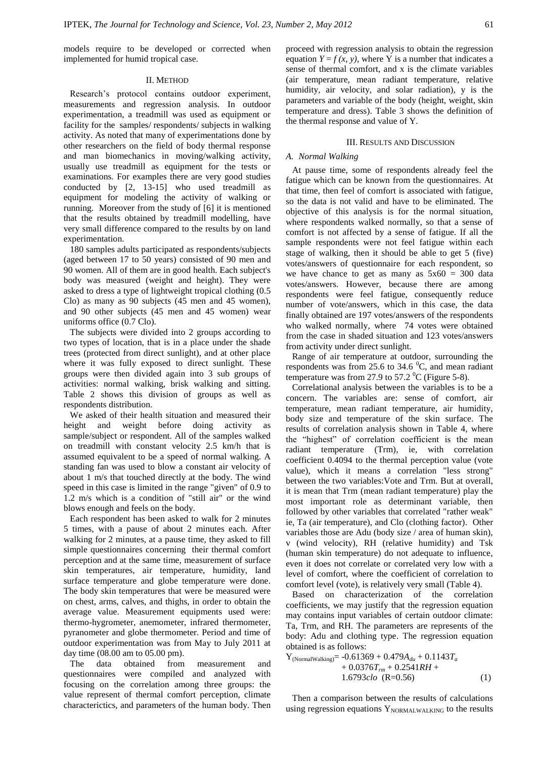models require to be developed or corrected when implemented for humid tropical case.

#### II. METHOD

Research's protocol contains outdoor experiment, measurements and regression analysis. In outdoor experimentation, a treadmill was used as equipment or facility for the samples/ respondents/ subjects in walking activity. As noted that many of experimentations done by other researchers on the field of body thermal response and man biomechanics in moving/walking activity, usually use treadmill as equipment for the tests or examinations. For examples there are very good studies conducted by [2, 13-15] who used treadmill as equipment for modeling the activity of walking or running. Moreover from the study of [6] it is mentioned that the results obtained by treadmill modelling, have very small difference compared to the results by on land experimentation.

180 samples adults participated as respondents/subjects (aged between 17 to 50 years) consisted of 90 men and 90 women. All of them are in good health. Each subject's body was measured (weight and height). They were asked to dress a type of lightweight tropical clothing (0.5 Clo) as many as 90 subjects (45 men and 45 women), and 90 other subjects (45 men and 45 women) wear uniforms office (0.7 Clo).

The subjects were divided into 2 groups according to two types of location, that is in a place under the shade trees (protected from direct sunlight), and at other place where it was fully exposed to direct sunlight. These groups were then divided again into 3 sub groups of activities: normal walking, brisk walking and sitting. Table 2 shows this division of groups as well as respondents distribution.

We asked of their health situation and measured their height and weight before doing activity as sample/subject or respondent. All of the samples walked on treadmill with constant velocity 2.5 km/h that is assumed equivalent to be a speed of normal walking. A standing fan was used to blow a constant air velocity of about 1 m/s that touched directly at the body. The wind speed in this case is limited in the range "given" of 0.9 to 1.2 m/s which is a condition of "still air" or the wind blows enough and feels on the body.

Each respondent has been asked to walk for 2 minutes 5 times, with a pause of about 2 minutes each. After walking for 2 minutes, at a pause time, they asked to fill simple questionnaires concerning their thermal comfort perception and at the same time, measurement of surface skin temperatures, air temperature, humidity, land surface temperature and globe temperature were done. The body skin temperatures that were be measured were on chest, arms, calves, and thighs, in order to obtain the average value. Measurement equipments used were: thermo-hygrometer, anemometer, infrared thermometer, pyranometer and globe thermometer. Period and time of outdoor experimentation was from May to July 2011 at day time (08.00 am to 05.00 pm).

The data obtained from measurement and questionnaires were compiled and analyzed with focusing on the correlation among three groups: the value represent of thermal comfort perception, climate characterictics, and parameters of the human body. Then proceed with regression analysis to obtain the regression equation  $Y = f(x, y)$ , where Y is a number that indicates a sense of thermal comfort, and x is the climate variables (air temperature, mean radiant temperature, relative humidity, air velocity, and solar radiation), y is the parameters and variable of the body (height, weight, skin temperature and dress). Table 3 shows the definition of the thermal response and value of Y.

## III. RESULTS AND DISCUSSION

# *A. Normal Walking*

At pause time, some of respondents already feel the fatigue which can be known from the questionnaires. At that time, then feel of comfort is associated with fatigue, so the data is not valid and have to be eliminated. The objective of this analysis is for the normal situation, where respondents walked normally, so that a sense of comfort is not affected by a sense of fatigue. If all the sample respondents were not feel fatigue within each stage of walking, then it should be able to get 5 (five) votes/answers of questionnaire for each respondent, so we have chance to get as many as  $5x60 = 300$  data votes/answers. However, because there are among respondents were feel fatigue, consequently reduce number of vote/answers, which in this case, the data finally obtained are 197 votes/answers of the respondents who walked normally, where 74 votes were obtained from the case in shaded situation and 123 votes/answers from activity under direct sunlight.

Range of air temperature at outdoor, surrounding the respondents was from 25.6 to 34.6  $^{\circ}$ C, and mean radiant temperature was from 27.9 to 57.2  $^0$ C (Figure 5-8).

Correlational analysis between the variables is to be a concern. The variables are: sense of comfort, air temperature, mean radiant temperature, air humidity, body size and temperature of the skin surface. The results of correlation analysis shown in Table 4, where the "highest" of correlation coefficient is the mean radiant temperature (Trm), ie, with correlation coefficient 0.4094 to the thermal perception value (vote value), which it means a correlation "less strong" between the two variables:Vote and Trm. But at overall, it is mean that Trm (mean radiant temperature) play the most important role as determinant variable, then followed by other variables that correlated "rather weak" ie, Ta (air temperature), and Clo (clothing factor). Other variables those are Adu (body size / area of human skin), v (wind velocity), RH (relative humidity) and Tsk (human skin temperature) do not adequate to influence, even it does not correlate or correlated very low with a level of comfort, where the coefficient of correlation to comfort level (vote), is relatively very small (Table 4).

Based on characterization of the correlation coefficients, we may justify that the regression equation may contains input variables of certain outdoor climate: Ta, Trm, and RH. The parameters are represents of the body: Adu and clothing type. The regression equation obtained is as follows:

$$
Y_{(NormalWallking)} = -0.61369 + 0.479A_{du} + 0.1143T_a + 0.0376T_{rm} + 0.2541RH + 1.6793clo (R=0.56)
$$
 (1)

Then a comparison between the results of calculations using regression equations  $Y_{NORMALWALKING}$  to the results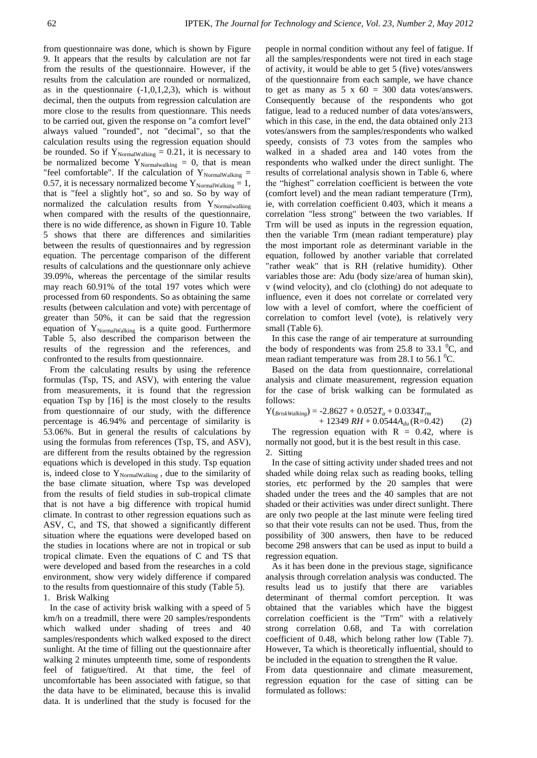from questionnaire was done, which is shown by Figure 9. It appears that the results by calculation are not far from the results of the questionnaire. However, if the results from the calculation are rounded or normalized, as in the questionnaire  $(-1,0,1,2,3)$ , which is without decimal, then the outputs from regression calculation are more close to the results from questionnare. This needs to be carried out, given the response on "a comfort level" always valued "rounded", not "decimal", so that the calculation results using the regression equation should be rounded. So if  $Y_{\text{NormalWalking}} = 0.21$ , it is necessary to be normalized become  $Y_{\text{Normalwalking}} = 0$ , that is mean "feel comfortable". If the calculation of  $Y_{\text{NormalWalking}} =$ 0.57, it is necessary normalized become  $Y_{\text{NormalWalking}} = 1$ , that is "feel a slightly hot", so and so. So by way of normalized the calculation results from  $Y_{\text{Normalwalking}}$ when compared with the results of the questionnaire, there is no wide difference, as shown in Figure 10. Table 5 shows that there are differences and similarities between the results of questionnaires and by regression equation. The percentage comparison of the different results of calculations and the questionnare only achieve 39.09%, whereas the percentage of the similar results may reach 60.91% of the total 197 votes which were processed from 60 respondents. So as obtaining the same results (between calculation and vote) with percentage of greater than 50%, it can be said that the regression equation of  $Y_{\text{NormalWalking}}$  is a quite good. Furthermore Table 5, also described the comparison between the results of the regression and the references, and confronted to the results from questionnaire.

From the calculating results by using the reference formulas (Tsp, TS, and ASV), with entering the value from measurements, it is found that the regression equation Tsp by [16] is the most closely to the results from questionnaire of our study, with the difference percentage is 46.94% and percentage of similarity is 53.06%. But in general the results of calculations by using the formulas from references (Tsp, TS, and ASV), are different from the results obtained by the regression equations which is developed in this study. Tsp equation is, indeed close to  $Y_{\text{NormalWaltung}}$ , due to the similarity of the base climate situation, where Tsp was developed from the results of field studies in sub-tropical climate that is not have a big difference with tropical humid climate. In contrast to other regression equations such as ASV, C, and TS, that showed a significantly different situation where the equations were developed based on the studies in locations where are not in tropical or sub tropical climate. Even the equations of C and TS that were developed and based from the researches in a cold environment, show very widely difference if compared to the results from questionnaire of this study (Table 5). 1. Brisk Walking

In the case of activity brisk walking with a speed of 5 km/h on a treadmill, there were 20 samples/respondents which walked under shading of trees and 40 samples/respondents which walked exposed to the direct sunlight. At the time of filling out the questionnaire after walking 2 minutes umpteenth time, some of respondents feel of fatigue/tired. At that time, the feel of uncomfortable has been associated with fatigue, so that the data have to be eliminated, because this is invalid data. It is underlined that the study is focused for the

people in normal condition without any feel of fatigue. If all the samples/respondents were not tired in each stage of activity, it would be able to get 5 (five) votes/answers of the questionnaire from each sample, we have chance to get as many as  $5 \times 60 = 300$  data votes/answers. Consequently because of the respondents who got fatigue, lead to a reduced number of data votes/answers, which in this case, in the end, the data obtained only 213 votes/answers from the samples/respondents who walked speedy, consists of 73 votes from the samples who walked in a shaded area and 140 votes from the respondents who walked under the direct sunlight. The results of correlational analysis shown in Table 6, where the "highest" correlation coefficient is between the vote (comfort level) and the mean radiant temperature (Trm), ie, with correlation coefficient 0.403, which it means a correlation "less strong" between the two variables. If Trm will be used as inputs in the regression equation, then the variable Trm (mean radiant temperature) play the most important role as determinant variable in the equation, followed by another variable that correlated "rather weak" that is RH (relative humidity). Other variables those are: Adu (body size/area of human skin), v (wind velocity), and clo (clothing) do not adequate to influence, even it does not correlate or correlated very low with a level of comfort, where the coefficient of correlation to comfort level (vote), is relatively very small (Table 6).

In this case the range of air temperature at surrounding the body of respondents was from  $25.8$  to  $33.1 \text{ }^0C$ , and mean radiant temperature was from 28.1 to  $56.1 \text{ °C}$ .

Based on the data from questionnaire, correlational analysis and climate measurement, regression equation for the case of brisk walking can be formulated as follows:

 $Y(r_{BriskWalking}) = -2.8627 + 0.052T_a + 0.0334T_{rm}$ 

 $+ 12349 \, RH + 0.0544A_{du}$  (R=0.42) (2) The regression equation with  $R = 0.42$ , where is normally not good, but it is the best result in this case.

2. Sitting

In the case of sitting activity under shaded trees and not shaded while doing relax such as reading books, telling stories, etc performed by the 20 samples that were shaded under the trees and the 40 samples that are not shaded or their activities was under direct sunlight. There are only two people at the last minute were feeling tired so that their vote results can not be used. Thus, from the possibility of 300 answers, then have to be reduced become 298 answers that can be used as input to build a regression equation.

As it has been done in the previous stage, significance analysis through correlation analysis was conducted. The results lead us to justify that there are variables determinant of thermal comfort perception. It was obtained that the variables which have the biggest correlation coefficient is the "Trm" with a relatively strong correlation 0.68, and Ta with correlation coefficient of 0.48, which belong rather low (Table 7). However, Ta which is theoretically influential, should to be included in the equation to strengthen the R value.

From data questionnaire and climate measurement, regression equation for the case of sitting can be formulated as follows: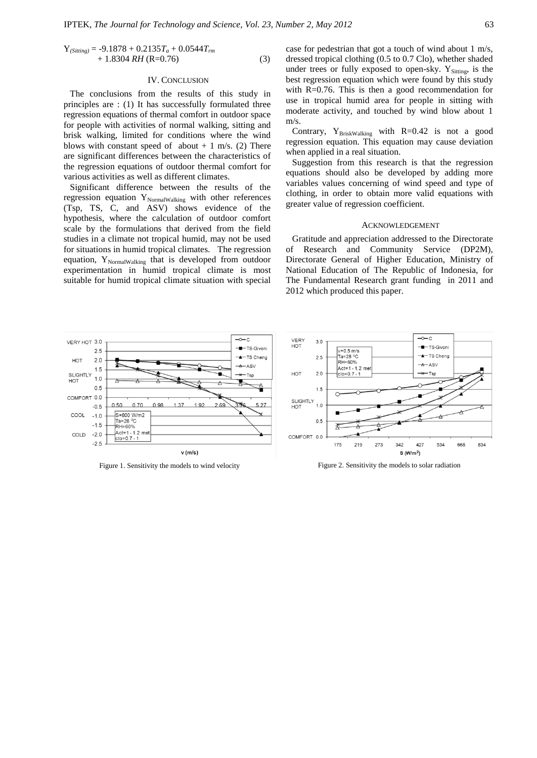$$
Y_{(Stiting)} = -9.1878 + 0.2135T_a + 0.0544T_{rm}+ 1.8304 RH (R=0.76)
$$
 (3)

#### IV. CONCLUSION

The conclusions from the results of this study in principles are : (1) It has successfully formulated three regression equations of thermal comfort in outdoor space for people with activities of normal walking, sitting and brisk walking, limited for conditions where the wind blows with constant speed of about  $+ 1$  m/s. (2) There are significant differences between the characteristics of the regression equations of outdoor thermal comfort for various activities as well as different climates.

Significant difference between the results of the regression equation  $Y_{\text{NormalWalking}}$  with other references (Tsp, TS, C, and ASV) shows evidence of the hypothesis, where the calculation of outdoor comfort scale by the formulations that derived from the field studies in a climate not tropical humid, may not be used for situations in humid tropical climates. The regression equation, Y<sub>NormalWalking</sub> that is developed from outdoor experimentation in humid tropical climate is most suitable for humid tropical climate situation with special case for pedestrian that got a touch of wind about 1 m/s, dressed tropical clothing (0.5 to 0.7 Clo), whether shaded under trees or fully exposed to open-sky.  $Y_{\text{Stiting}}$ , is the best regression equation which were found by this study with  $R=0.76$ . This is then a good recommendation for use in tropical humid area for people in sitting with moderate activity, and touched by wind blow about 1 m/s.

Contrary,  $Y_{BriskWalking}$  with R=0.42 is not a good regression equation. This equation may cause deviation when applied in a real situation.

Suggestion from this research is that the regression equations should also be developed by adding more variables values concerning of wind speed and type of clothing, in order to obtain more valid equations with greater value of regression coefficient.

### ACKNOWLEDGEMENT

Gratitude and appreciation addressed to the Directorate of Research and Community Service (DP2M), Directorate General of Higher Education, Ministry of National Education of The Republic of Indonesia, for The Fundamental Research grant funding in 2011 and 2012 which produced this paper.



Figure 1. Sensitivity the models to wind velocity Figure 2. Sensitivity the models to solar radiation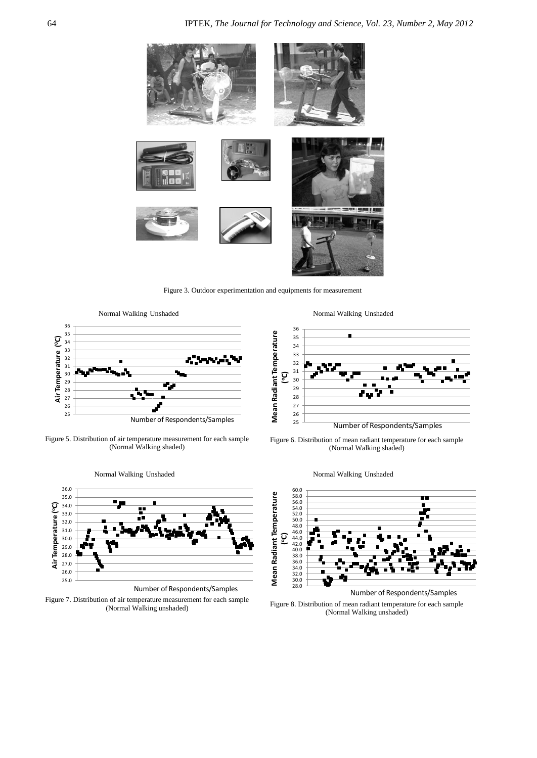

Figure 3. Outdoor experimentation and equipments for measurement



Figure 5. Distribution of air temperature measurement for each sample (Normal Walking shaded)



Normal Walking Unshaded

Figure 7. Distribution of air temperature measurement for each sample







Number of Respondents/Samples

Figure 8. Distribution of mean radiant temperature for each sample (Normal Walking unshaded)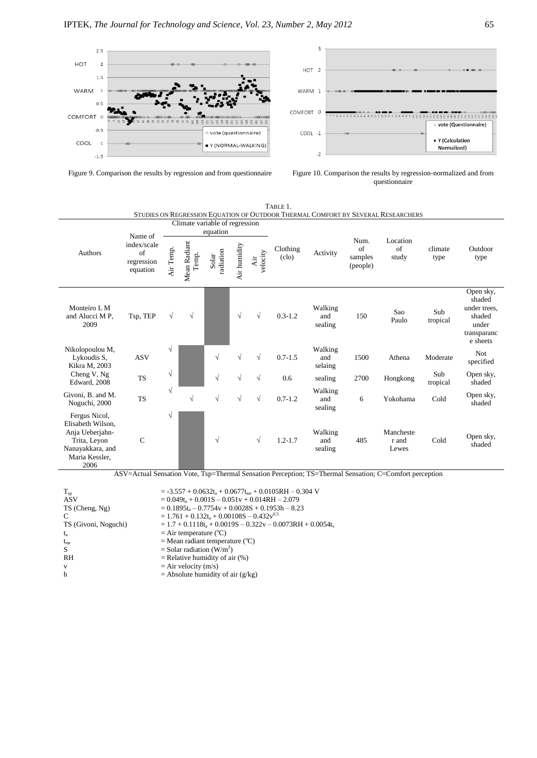





|                                                                                                                     |                                                        |                                            |                       |                    |              |                 |                                    |                           |                                           | STUDIES ON REGRESSION EQUATION OF OUTDOOR THERMAL COMFORT BY SEVERAL RESEARCHERS |                 |                                                                                   |
|---------------------------------------------------------------------------------------------------------------------|--------------------------------------------------------|--------------------------------------------|-----------------------|--------------------|--------------|-----------------|------------------------------------|---------------------------|-------------------------------------------|----------------------------------------------------------------------------------|-----------------|-----------------------------------------------------------------------------------|
|                                                                                                                     |                                                        | Climate variable of regression<br>equation |                       |                    |              |                 |                                    |                           |                                           |                                                                                  |                 |                                                                                   |
| <b>Authors</b>                                                                                                      | Name of<br>index/scale<br>of<br>regression<br>equation | Air Temp.                                  | Mean Radiant<br>Temp. | radiation<br>Solar | Air humidity | velocity<br>Air | Clothing<br>$\left($ clo $\right)$ | Activity                  | Num.<br>$\alpha$ f<br>samples<br>(people) | Location<br>of<br>study                                                          | climate<br>type | Outdoor<br>type                                                                   |
| Monteiro L M<br>and Alucci M P.<br>2009                                                                             | Tsp, TEP                                               | V                                          | $\sqrt{}$             |                    | $\sqrt{}$    | $\sqrt{ }$      | $0.3 - 1.2$                        | Walking<br>and<br>sealing | 150                                       | Sao<br>Paulo                                                                     | Sub<br>tropical | Open sky,<br>shaded<br>under trees.<br>shaded<br>under<br>transparanc<br>e sheets |
| Nikolopoulou M,<br>Lykoudis S.<br>Kikra M, 2003                                                                     | <b>ASV</b>                                             | $\sqrt{ }$                                 |                       | $\sqrt{}$          | $\sqrt{}$    | $\sqrt{ }$      | $0.7 - 1.5$                        | Walking<br>and<br>selaing | 1500                                      | Athena                                                                           | Moderate        | Not.<br>specified                                                                 |
| Cheng V, Ng<br>Edward, 2008                                                                                         | <b>TS</b>                                              | $\sqrt{}$                                  |                       | $\sqrt{}$          | $\sqrt{}$    | $\sqrt{ }$      | 0.6                                | sealing                   | 2700                                      | Hongkong                                                                         | Sub<br>tropical | Open sky,<br>shaded                                                               |
| Givoni, B. and M.<br>Noguchi, 2000                                                                                  | <b>TS</b>                                              | $\sqrt{ }$                                 | $\sqrt{}$             | $\sqrt{}$          | $\sqrt{}$    | $\sqrt{ }$      | $0.7 - 1.2$                        | Walking<br>and<br>sealing | 6                                         | Yokohama                                                                         | Cold            | Open sky,<br>shaded                                                               |
| Fergus Nicol,<br>Elisabeth Wilson,<br>Anja Ueberjahn-<br>Trita, Levon<br>Nanayakkara, and<br>Maria Kessler,<br>2006 | $\mathbf C$                                            | $\sqrt{ }$                                 |                       | $\sqrt{}$          |              | $\sqrt{ }$      | $1.2 - 1.7$                        | Walking<br>and<br>sealing | 485                                       | Mancheste<br>r and<br>Lewes                                                      | Cold            | Open sky,<br>shaded                                                               |

TABLE 1.

ASV=Actual Sensation Vote, Tsp=Thermal Sensation Perception; TS=Thermal Sensation; C=Comfort perception

 $T_{sp}$  = -3.557 + 0.0632t<sub>a</sub> + 0.0677t<sub>mr</sub> + 0.0105RH – 0.304 V  $ASV = 0.049t_a + 0.001S - 0.051v + 0.014RH - 2.079$ TS (Cheng, Ng)  $= 0.1895t_a - 0.7754v + 0.0028S + 0.1953h - 8.23$ <br>C  $= 1.761 + 0.132t_a + 0.00108S - 0.432v^{0.5}$ C =  $1.761 + 0.132t_a + 0.00108S - 0.432v^{0.5}$ <br>TS (Givoni, Noguchi) =  $1.7 + 0.1118t_a + 0.0019S - 0.322v - 0.045t$  $= 1.7 + 0.1118t_a + 0.0019S - 0.322v - 0.0073RH + 0.0054t_s$  $t_a$  = Air temperature (°C)<br>  $t_{mr}$  = Mean radiant temperature (°C)<br>
= Solar radiation (W/m  $=$  Mean radiant temperature ( $^{\circ}$ C)  $S =$ Solar radiation (W/m<sup>2</sup>) RH = Relative humidity of air (%)<br>  $V = Air velocity (m/s)$ v  $=$  Air velocity (m/s)<br>  $=$  Absolute humidity  $=$  Absolute humidity of air (g/kg)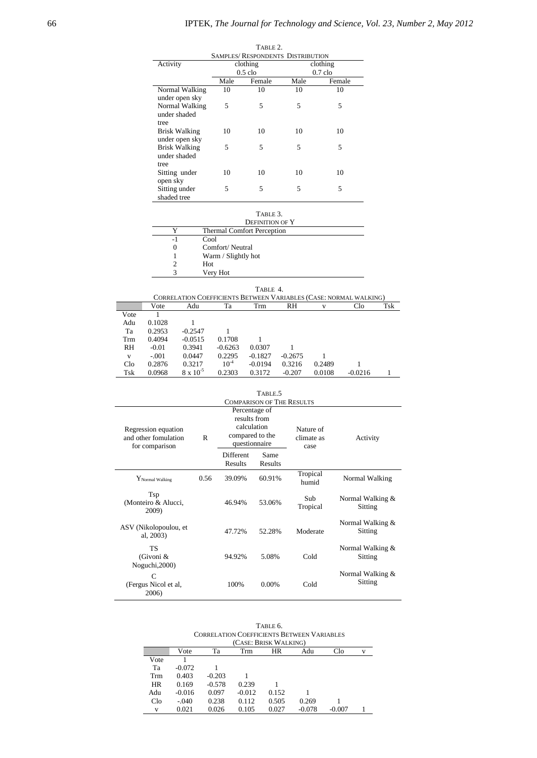|                      |      | TABLE 2.<br><b>SAMPLES/ RESPONDENTS DISTRIBUTION</b> |      |           |
|----------------------|------|------------------------------------------------------|------|-----------|
| Activity             |      | clothing                                             |      | clothing  |
|                      |      | $0.5$ clo                                            |      | $0.7$ clo |
|                      | Male | Female                                               | Male | Female    |
| Normal Walking       | 10   | 10                                                   | 10   | 10        |
| under open sky       |      |                                                      |      |           |
| Normal Walking       | 5    | 5                                                    | 5    | 5         |
| under shaded         |      |                                                      |      |           |
| tree                 |      |                                                      |      |           |
| <b>Brisk Walking</b> | 10   | 10                                                   | 10   | 10        |
| under open sky       |      |                                                      |      |           |
| <b>Brisk Walking</b> | 5    | 5                                                    | 5    | 5         |
| under shaded         |      |                                                      |      |           |
| tree                 |      |                                                      |      |           |
| Sitting under        | 10   | 10                                                   | 10   | 10        |
| open sky             |      |                                                      |      |           |
| Sitting under        | 5    | 5                                                    | 5    | 5         |
| shaded tree          |      |                                                      |      |           |

| ×<br>×<br>٧ |  |
|-------------|--|
|-------------|--|

|    | <b>DEFINITION OF Y</b>            |
|----|-----------------------------------|
| Y  | <b>Thermal Comfort Perception</b> |
| -1 | Cool                              |
| 0  | Comfort/Neutral                   |
|    | Warm / Slightly hot               |
|    | Hot                               |
|    | Very Hot                          |
|    |                                   |

|                 |         |                    |           | TABLE 4.  |           |        |                                                                   |     |
|-----------------|---------|--------------------|-----------|-----------|-----------|--------|-------------------------------------------------------------------|-----|
|                 |         |                    |           |           |           |        | CORRELATION COEFFICIENTS BETWEEN VARIABLES (CASE: NORMAL WALKING) |     |
|                 | Vote    | Adu                | Тa        | Trm       | RH        | v      | Clo                                                               | Tsk |
| Vote            |         |                    |           |           |           |        |                                                                   |     |
| Adu             | 0.1028  |                    |           |           |           |        |                                                                   |     |
| Ta              | 0.2953  | $-0.2547$          |           |           |           |        |                                                                   |     |
| Trm             | 0.4094  | $-0.0515$          | 0.1708    |           |           |        |                                                                   |     |
| RH              | $-0.01$ | 0.3941             | $-0.6263$ | 0.0307    |           |        |                                                                   |     |
| V               | $-.001$ | 0.0447             | 0.2295    | $-0.1827$ | $-0.2675$ |        |                                                                   |     |
| C1 <sub>0</sub> | 0.2876  | 0.3217             | $10^{-4}$ | $-0.0194$ | 0.3216    | 0.2489 |                                                                   |     |
| Tsk             | 0.0968  | $8 \times 10^{-5}$ | 0.2303    | 0.3172    | $-0.207$  | 0.0108 | $-0.0216$                                                         |     |

|                                                               |      |                                                                                  | TABLE <sub>.5</sub><br><b>COMPARISON OF THE RESULTS</b> |                                 |                               |  |
|---------------------------------------------------------------|------|----------------------------------------------------------------------------------|---------------------------------------------------------|---------------------------------|-------------------------------|--|
| Regression equation<br>and other fomulation<br>for comparison | R    | Percentage of<br>results from<br>calculation<br>compared to the<br>questionnaire |                                                         | Nature of<br>climate as<br>case | Activity                      |  |
|                                                               |      | <b>Different</b><br>Results                                                      | Same<br>Results                                         |                                 |                               |  |
| ${\rm Y}_{\rm Normal\;Walking}$                               | 0.56 | 39.09%                                                                           | 60.91%                                                  | Tropical<br>humid               | Normal Walking                |  |
| Tsp<br>(Monteiro & Alucci,<br>2009)                           |      | 46.94%                                                                           | 53.06%                                                  | Sub<br>Tropical                 | Normal Walking &<br>Sitting   |  |
| ASV (Nikolopoulou, et<br>al, 2003)                            |      | 47.72%                                                                           | 52.28%                                                  | Moderate                        | Normal Walking &<br>Sitting   |  |
| <b>TS</b><br>(Givoni &<br>Noguchi, 2000)                      |      | 94.92%                                                                           | 5.08%                                                   | Cold                            | Normal Walking &<br>Sitting   |  |
| $\mathsf{C}$<br>(Fergus Nicol et al.<br>2006)                 |      | 100%                                                                             | $0.00\%$                                                | Cold                            | Normal Walking $&$<br>Sitting |  |

| TABLE 6.                                          |
|---------------------------------------------------|
| <b>CORRELATION COEFFICIENTS BETWEEN VARIABLES</b> |
| (CASE: BRISK WALKING)                             |

|                 | (CASE: BRISK WALKING) |          |          |       |          |          |   |  |  |  |
|-----------------|-----------------------|----------|----------|-------|----------|----------|---|--|--|--|
|                 | Vote                  | Ta       | Trm      | HR    | Adu      | Clo      | v |  |  |  |
| Vote            |                       |          |          |       |          |          |   |  |  |  |
| Ta              | $-0.072$              |          |          |       |          |          |   |  |  |  |
| Trm             | 0.403                 | $-0.203$ |          |       |          |          |   |  |  |  |
| <b>HR</b>       | 0.169                 | $-0.578$ | 0.239    |       |          |          |   |  |  |  |
| Adu             | $-0.016$              | 0.097    | $-0.012$ | 0.152 |          |          |   |  |  |  |
| C1 <sub>0</sub> | $-.040$               | 0.238    | 0.112    | 0.505 | 0.269    |          |   |  |  |  |
| v               | 0.021                 | 0.026    | 0.105    | 0.027 | $-0.078$ | $-0.007$ |   |  |  |  |
|                 |                       |          |          |       |          |          |   |  |  |  |

j.